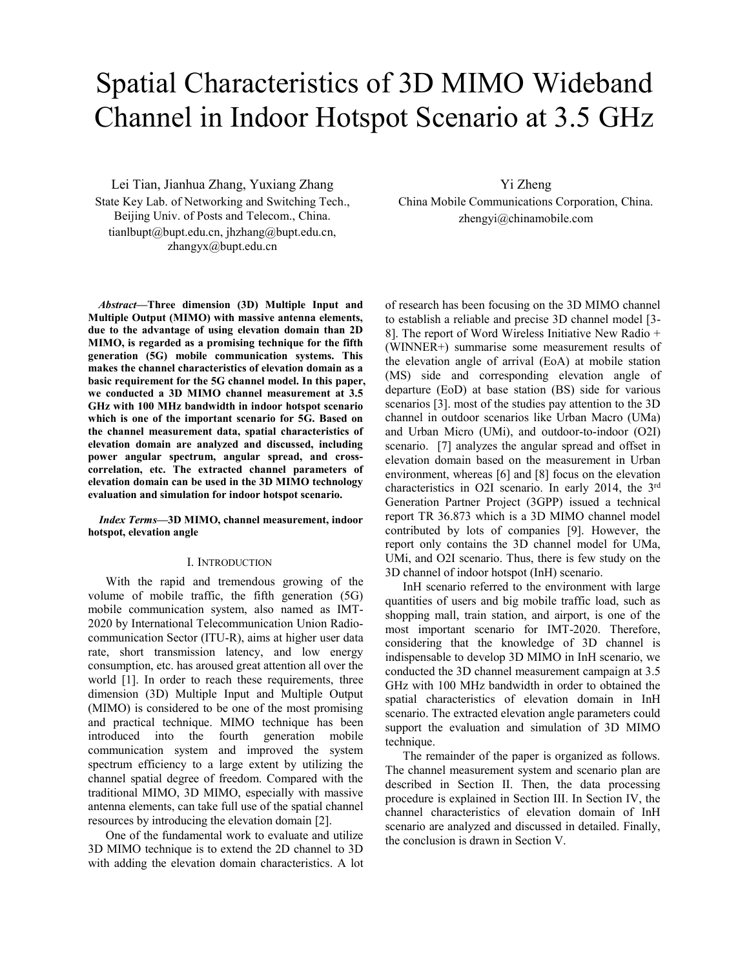# Spatial Characteristics of 3D MIMO Wideband Channel in Indoor Hotspot Scenario at 3.5 GHz

Lei Tian, Jianhua Zhang, Yuxiang Zhang State Key Lab. of Networking and Switching Tech., Beijing Univ. of Posts and Telecom., China. tianlbupt@bupt.edu.cn, jhzhang@bupt.edu.cn, zhangyx@bupt.edu.cn

*Abstract***—Three dimension (3D) Multiple Input and Multiple Output (MIMO) with massive antenna elements, due to the advantage of using elevation domain than 2D MIMO, is regarded as a promising technique for the fifth generation (5G) mobile communication systems. This makes the channel characteristics of elevation domain as a basic requirement for the 5G channel model. In this paper, we conducted a 3D MIMO channel measurement at 3.5 GHz with 100 MHz bandwidth in indoor hotspot scenario which is one of the important scenario for 5G. Based on the channel measurement data, spatial characteristics of elevation domain are analyzed and discussed, including power angular spectrum, angular spread, and crosscorrelation, etc. The extracted channel parameters of elevation domain can be used in the 3D MIMO technology evaluation and simulation for indoor hotspot scenario.**

*Index Terms***—3D MIMO, channel measurement, indoor hotspot, elevation angle**

#### I. INTRODUCTION

With the rapid and tremendous growing of the volume of mobile traffic, the fifth generation (5G) mobile communication system, also named as IMT-2020 by International Telecommunication Union Radiocommunication Sector (ITU-R), aims at higher user data rate, short transmission latency, and low energy consumption, etc. has aroused great attention all over the world [1]. In order to reach these requirements, three dimension (3D) Multiple Input and Multiple Output (MIMO) is considered to be one of the most promising and practical technique. MIMO technique has been introduced into the fourth generation mobile communication system and improved the system spectrum efficiency to a large extent by utilizing the channel spatial degree of freedom. Compared with the traditional MIMO, 3D MIMO, especially with massive antenna elements, can take full use of the spatial channel resources by introducing the elevation domain [2].

One of the fundamental work to evaluate and utilize 3D MIMO technique is to extend the 2D channel to 3D with adding the elevation domain characteristics. A lot

Yi Zheng China Mobile Communications Corporation, China. zhengyi@chinamobile.com

of research has been focusing on the 3D MIMO channel to establish a reliable and precise 3D channel model [3- 8]. The report of Word Wireless Initiative New Radio + (WINNER+) summarise some measurement results of the elevation angle of arrival (EoA) at mobile station (MS) side and corresponding elevation angle of departure (EoD) at base station (BS) side for various scenarios [3]. most of the studies pay attention to the 3D channel in outdoor scenarios like Urban Macro (UMa) and Urban Micro (UMi), and outdoor-to-indoor (O2I) scenario. [7] analyzes the angular spread and offset in elevation domain based on the measurement in Urban environment, whereas [6] and [8] focus on the elevation characteristics in O2I scenario. In early 2014, the 3rd Generation Partner Project (3GPP) issued a technical report TR 36.873 which is a 3D MIMO channel model contributed by lots of companies [9]. However, the report only contains the 3D channel model for UMa, UMi, and O2I scenario. Thus, there is few study on the 3D channel of indoor hotspot (InH) scenario.

InH scenario referred to the environment with large quantities of users and big mobile traffic load, such as shopping mall, train station, and airport, is one of the most important scenario for IMT-2020. Therefore, considering that the knowledge of 3D channel is indispensable to develop 3D MIMO in InH scenario, we conducted the 3D channel measurement campaign at 3.5 GHz with 100 MHz bandwidth in order to obtained the spatial characteristics of elevation domain in InH scenario. The extracted elevation angle parameters could support the evaluation and simulation of 3D MIMO technique.

The remainder of the paper is organized as follows. The channel measurement system and scenario plan are described in Section II. Then, the data processing procedure is explained in Section III. In Section IV, the channel characteristics of elevation domain of InH scenario are analyzed and discussed in detailed. Finally, the conclusion is drawn in Section V.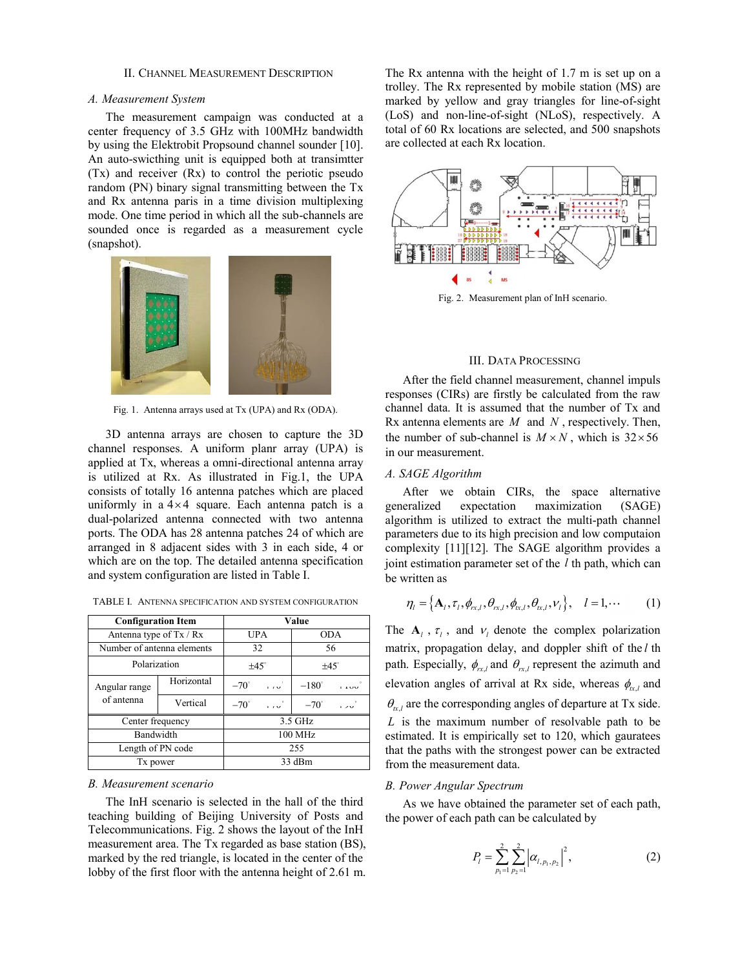#### II. CHANNEL MEASUREMENT DESCRIPTION

#### *A. Measurement System*

The measurement campaign was conducted at a center frequency of 3.5 GHz with 100MHz bandwidth by using the Elektrobit Propsound channel sounder [10]. An auto-swicthing unit is equipped both at transimtter (Tx) and receiver (Rx) to control the periotic pseudo random (PN) binary signal transmitting between the Tx and Rx antenna paris in a time division multiplexing mode. One time period in which all the sub-channels are sounded once is regarded as a measurement cycle (snapshot).



Fig. 1. Antenna arrays used at Tx (UPA) and Rx (ODA).

3D antenna arrays are chosen to capture the 3D channel responses. A uniform planr array (UPA) is applied at Tx, whereas a omni-directional antenna array is utilized at Rx. As illustrated in Fig.1, the UPA consists of totally 16 antenna patches which are placed uniformly in a  $4 \times 4$  square. Each antenna patch is a dual-polarized antenna connected with two antenna ports. The ODA has 28 antenna patches 24 of which are arranged in 8 adjacent sides with 3 in each side, 4 or which are on the top. The detailed antenna specification and system configuration are listed in Table I.

| <b>Configuration Item</b>   |            | Value                   |                          |  |
|-----------------------------|------------|-------------------------|--------------------------|--|
| Antenna type of Tx / Rx     |            | <b>UPA</b>              | <b>ODA</b>               |  |
| Number of antenna elements  |            | 32                      | 56                       |  |
| Polarization                |            | $±45^\circ$             | $\pm 45^\circ$           |  |
| Angular range<br>of antenna | Horizontal | $-70^\circ$ $-10^\circ$ | $-180^\circ - 1100$      |  |
|                             | Vertical   | $-70^\circ$ $-10^\circ$ | $-70^\circ$ $-120^\circ$ |  |
| Center frequency            |            | 3.5 GHz                 |                          |  |
| Bandwidth                   |            | 100 MHz                 |                          |  |
| Length of PN code           |            | 255                     |                          |  |
| Tx power                    |            | 33 dBm                  |                          |  |

TABLE I. ANTENNA SPECIFICATION AND SYSTEM CONFIGURATION

### *B. Measurement scenario*

The InH scenario is selected in the hall of the third teaching building of Beijing University of Posts and Telecommunications. Fig. 2 shows the layout of the InH measurement area. The Tx regarded as base station (BS), marked by the red triangle, is located in the center of the lobby of the first floor with the antenna height of 2.61 m.

The Rx antenna with the height of 1.7 m is set up on a trolley. The Rx represented by mobile station (MS) are marked by yellow and gray triangles for line-of-sight (LoS) and non-line-of-sight (NLoS), respectively. A total of 60 Rx locations are selected, and 500 snapshots are collected at each Rx location.



Fig. 2. Measurement plan of InH scenario.

## III. DATA PROCESSING

After the field channel measurement, channel impuls responses (CIRs) are firstly be calculated from the raw channel data. It is assumed that the number of Tx and Rx antenna elements are *M* and *N* , respectively. Then, the number of sub-channel is  $M \times N$ , which is  $32 \times 56$ in our measurement.

### *A. SAGE Algorithm*

After we obtain CIRs, the space alternative generalized expectation maximization (SAGE) algorithm is utilized to extract the multi-path channel parameters due to its high precision and low computaion complexity [11][12]. The SAGE algorithm provides a joint estimation parameter set of the *l* th path, which can be written as

$$
\eta_l = \left\{ \mathbf{A}_l, \tau_l, \phi_{rx,l}, \theta_{rx,l}, \phi_{tx,l}, \theta_{tx,l}, \mathcal{V}_l \right\}, \quad l = 1, \cdots \tag{1}
$$

The  $A_l$ ,  $\tau_l$ , and  $\nu_l$  denote the complex polarization matrix, propagation delay, and doppler shift of the *l* th path. Especially,  $\phi_{rx,l}$  and  $\theta_{rx,l}$  represent the azimuth and elevation angles of arrival at Rx side, whereas  $\phi_{\alpha,l}$  and  $\theta_{\alpha,l}$  are the corresponding angles of departure at Tx side. *L* is the maximum number of resolvable path to be estimated. It is empirically set to 120, which gauratees that the paths with the strongest power can be extracted from the measurement data.

## *B. Power Angular Spectrum*

As we have obtained the parameter set of each path, the power of each path can be calculated by

$$
P_{l} = \sum_{p_{1}=1}^{2} \sum_{p_{2}=1}^{2} \left| \alpha_{l, p_{1}, p_{2}} \right|^{2}, \qquad (2)
$$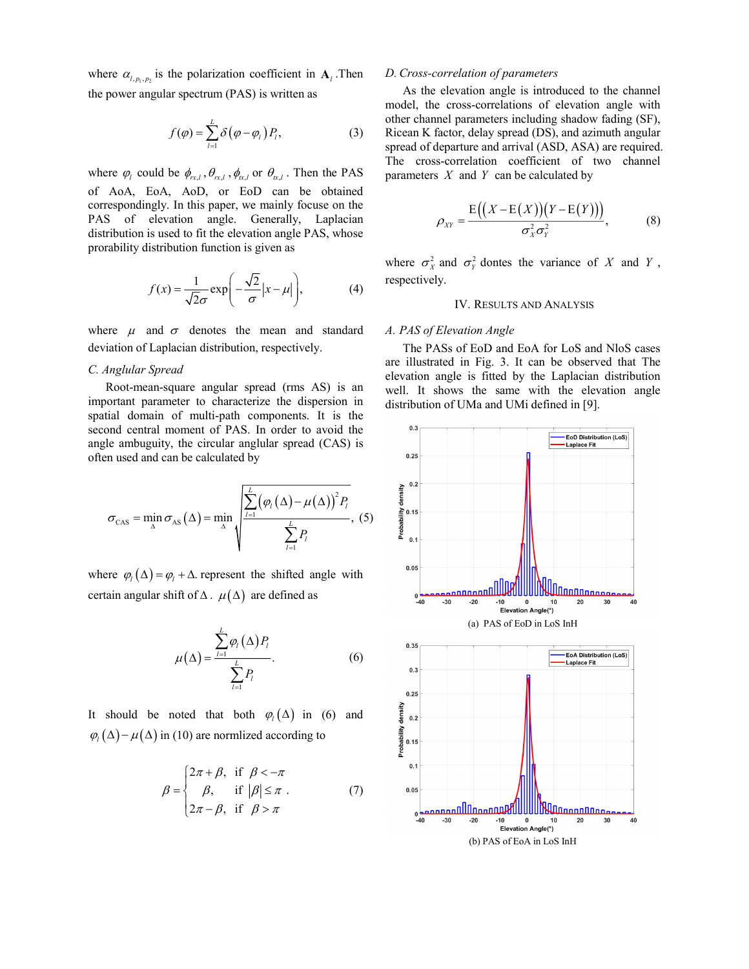where  $\alpha_{l, p_1, p_2}$  is the polarization coefficient in  $A_l$ . Then the power angular spectrum (PAS) is written as

$$
f(\varphi) = \sum_{l=1}^{L} \delta(\varphi - \varphi_l) P_l,
$$
 (3)

where  $\varphi_l$  could be  $\phi_{rx,l}$ ,  $\theta_{rx,l}$ ,  $\phi_{tx,l}$  or  $\theta_{rx,l}$ . Then the PAS of AoA, EoA, AoD, or EoD can be obtained correspondingly. In this paper, we mainly focuse on the PAS of elevation angle. Generally, Laplacian distribution is used to fit the elevation angle PAS, whose prorability distribution function is given as

$$
f(x) = \frac{1}{\sqrt{2}\sigma} \exp\left(-\frac{\sqrt{2}}{\sigma}|x - \mu|\right),\tag{4}
$$

where  $\mu$  and  $\sigma$  denotes the mean and standard deviation of Laplacian distribution, respectively.

## *C. Anglular Spread*

Root-mean-square angular spread (rms AS) is an important parameter to characterize the dispersion in spatial domain of multi-path components. It is the second central moment of PAS. In order to avoid the angle ambuguity, the circular anglular spread (CAS) is often used and can be calculated by

$$
\sigma_{\text{CAS}} = \min_{\Delta} \sigma_{\text{AS}} \left( \Delta \right) = \min_{\Delta} \sqrt{\frac{\sum_{l=1}^{L} (\varphi_l \left( \Delta \right) - \mu \left( \Delta \right))^2 P_l}{\sum_{l=1}^{L} P_l}}, \quad (5)
$$

where  $\varphi_l(\Delta) = \varphi_l + \Delta$  represent the shifted angle with certain angular shift of  $\Delta$ .  $\mu(\Delta)$  are defined as

$$
\mu(\Delta) = \frac{\sum_{l=1}^{L} \varphi_l(\Delta) P_l}{\sum_{l=1}^{L} P_l}.
$$
\n(6)

It should be noted that both  $\varphi_i(\Delta)$  in (6) and  $\varphi$ <sub>l</sub>  $(\Delta) - \mu(\Delta)$  in (10) are normlized according to

$$
\beta = \begin{cases} 2\pi + \beta, & \text{if } \beta < -\pi \\ \beta, & \text{if } |\beta| \le \pi \\ 2\pi - \beta, & \text{if } \beta > \pi \end{cases}
$$
 (7)

### *D. Cross-correlation of parameters*

As the elevation angle is introduced to the channel model, the cross-correlations of elevation angle with other channel parameters including shadow fading (SF), Ricean K factor, delay spread (DS), and azimuth angular spread of departure and arrival (ASD, ASA) are required. The cross-correlation coefficient of two channel parameters *X* and *Y* can be calculated by

$$
\rho_{XY} = \frac{\mathrm{E}\big((X - \mathrm{E}(X))(Y - \mathrm{E}(Y))\big)}{\sigma_X^2 \sigma_Y^2},\tag{8}
$$

where  $\sigma_X^2$  and  $\sigma_Y^2$  dontes the variance of X and Y, respectively.

## IV. RESULTS AND ANALYSIS

## *A. PAS of Elevation Angle*

The PASs of EoD and EoA for LoS and NloS cases are illustrated in Fig. 3. It can be observed that The elevation angle is fitted by the Laplacian distribution well. It shows the same with the elevation angle distribution of UMa and UMi defined in [9].

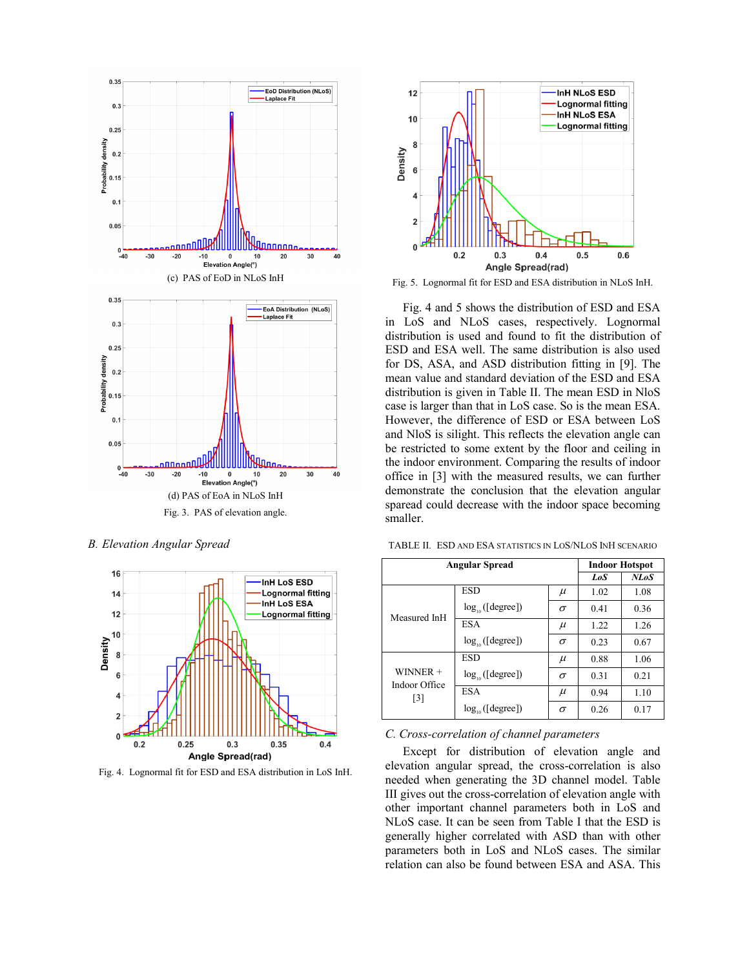

*B. Elevation Angular Spread*



Fig. 4. Lognormal fit for ESD and ESA distribution in LoS InH.



Fig. 5. Lognormal fit for ESD and ESA distribution in NLoS InH.

Fig. 4 and 5 shows the distribution of ESD and ESA in LoS and NLoS cases, respectively. Lognormal distribution is used and found to fit the distribution of ESD and ESA well. The same distribution is also used for DS, ASA, and ASD distribution fitting in [9]. The mean value and standard deviation of the ESD and ESA distribution is given in Table II. The mean ESD in NloS case is larger than that in LoS case. So is the mean ESA. However, the difference of ESD or ESA between LoS and NloS is silight. This reflects the elevation angle can be restricted to some extent by the floor and ceiling in the indoor environment. Comparing the results of indoor office in [3] with the measured results, we can further demonstrate the conclusion that the elevation angular sparead could decrease with the indoor space becoming smaller.

| <b>Angular Spread</b>                            |                      |          | <b>Indoor Hotspot</b> |             |
|--------------------------------------------------|----------------------|----------|-----------------------|-------------|
|                                                  |                      |          | LoS                   | <b>NLoS</b> |
| Measured InH                                     | <b>ESD</b>           | $\mu$    | 1.02                  | 1.08        |
|                                                  | $log_{10}([degree])$ | $\sigma$ | 0.41                  | 0.36        |
|                                                  | <b>ESA</b>           | $\mu$    | 1.22                  | 1.26        |
|                                                  | $log_{10}([degree])$ | $\sigma$ | 0.23                  | 0.67        |
| $WINNER +$<br>Indoor Office<br>$\lceil 3 \rceil$ | <b>ESD</b>           | $\mu$    | 0.88                  | 1.06        |
|                                                  | $log_{10}([degree])$ | $\sigma$ | 0.31                  | 0.21        |
|                                                  | ESA                  | $\mu$    | 0.94                  | 1.10        |
|                                                  | $log_{10}([degree])$ | σ        | 0.26                  | 0.17        |

TABLE II. ESD AND ESA STATISTICS IN LOS/NLOS INH SCENARIO

# *C. Cross-correlation of channel parameters*

Except for distribution of elevation angle and elevation angular spread, the cross-correlation is also needed when generating the 3D channel model. Table III gives out the cross-correlation of elevation angle with other important channel parameters both in LoS and NLoS case. It can be seen from Table I that the ESD is generally higher correlated with ASD than with other parameters both in LoS and NLoS cases. The similar relation can also be found between ESA and ASA. This